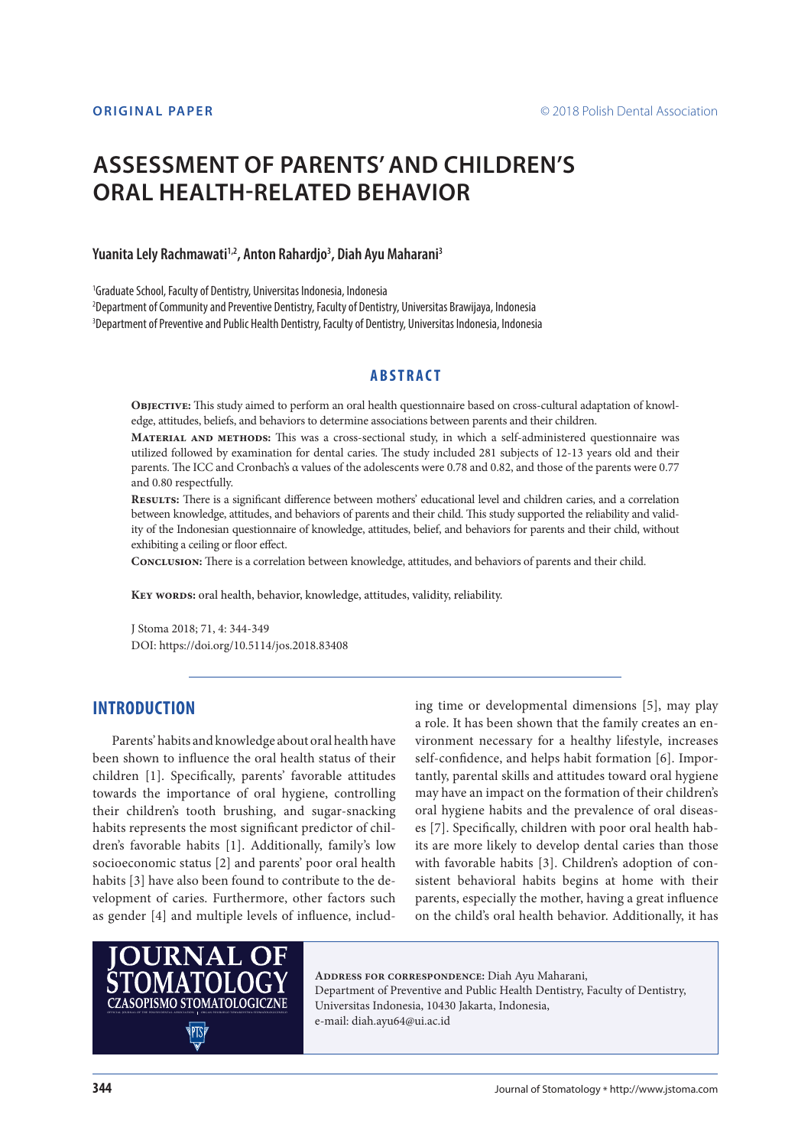# **ASSESSMENT OF PARENTS' AND CHILDREN'S ORAL HEALTH-RELATED BEHAVIOR**

### **Yuanita Lely Rachmawati1,2, Anton Rahardjo3 , Diah Ayu Maharani3**

1 Graduate School, Faculty of Dentistry, Universitas Indonesia, Indonesia 2 Department of Community and Preventive Dentistry, Faculty of Dentistry, Universitas Brawijaya, Indonesia 3 Department of Preventive and Public Health Dentistry, Faculty of Dentistry, Universitas Indonesia, Indonesia

### **ABSTRACT**

**Objective:** This study aimed to perform an oral health questionnaire based on cross-cultural adaptation of knowledge, attitudes, beliefs, and behaviors to determine associations between parents and their children.

**Material and methods:** This was a cross-sectional study, in which a self-administered questionnaire was utilized followed by examination for dental caries. The study included 281 subjects of 12-13 years old and their parents. The ICC and Cronbach's α values of the adolescents were 0.78 and 0.82, and those of the parents were 0.77 and 0.80 respectfully.

**Results:** There is a significant difference between mothers' educational level and children caries, and a correlation between knowledge, attitudes, and behaviors of parents and their child. This study supported the reliability and validity of the Indonesian questionnaire of knowledge, attitudes, belief, and behaviors for parents and their child, without exhibiting a ceiling or floor effect.

**Conclusion:** There is a correlation between knowledge, attitudes, and behaviors of parents and their child.

**Key words:** oral health, behavior, knowledge, attitudes, validity, reliability.

J Stoma 2018; 71, 4: 344-349 DOI: https://doi.org/10.5114/jos.2018.83408

# **INTRODUCTION**

Parents' habits and knowledge about oral health have been shown to influence the oral health status of their children [1]. Specifically, parents' favorable attitudes towards the importance of oral hygiene, controlling their children's tooth brushing, and sugar-snacking habits represents the most significant predictor of children's favorable habits [1]. Additionally, family's low socioeconomic status [2] and parents' poor oral health habits [3] have also been found to contribute to the development of caries. Furthermore, other factors such as gender [4] and multiple levels of influence, including time or developmental dimensions [5], may play a role. It has been shown that the family creates an environment necessary for a healthy lifestyle, increases self-confidence, and helps habit formation [6]. Importantly, parental skills and attitudes toward oral hygiene may have an impact on the formation of their children's oral hygiene habits and the prevalence of oral diseases [7]. Specifically, children with poor oral health habits are more likely to develop dental caries than those with favorable habits [3]. Children's adoption of consistent behavioral habits begins at home with their parents, especially the mother, having a great influence on the child's oral health behavior. Additionally, it has



The relationship between interleukin-18 level in smokers and chronic periodontitis: radiographic overview

**Address for correspondence:** Diah Ayu Maharani, Department of Preventive and Public Health Dentistry, Faculty of Dentistry, Universitas Indonesia, 10430 Jakarta, Indonesia,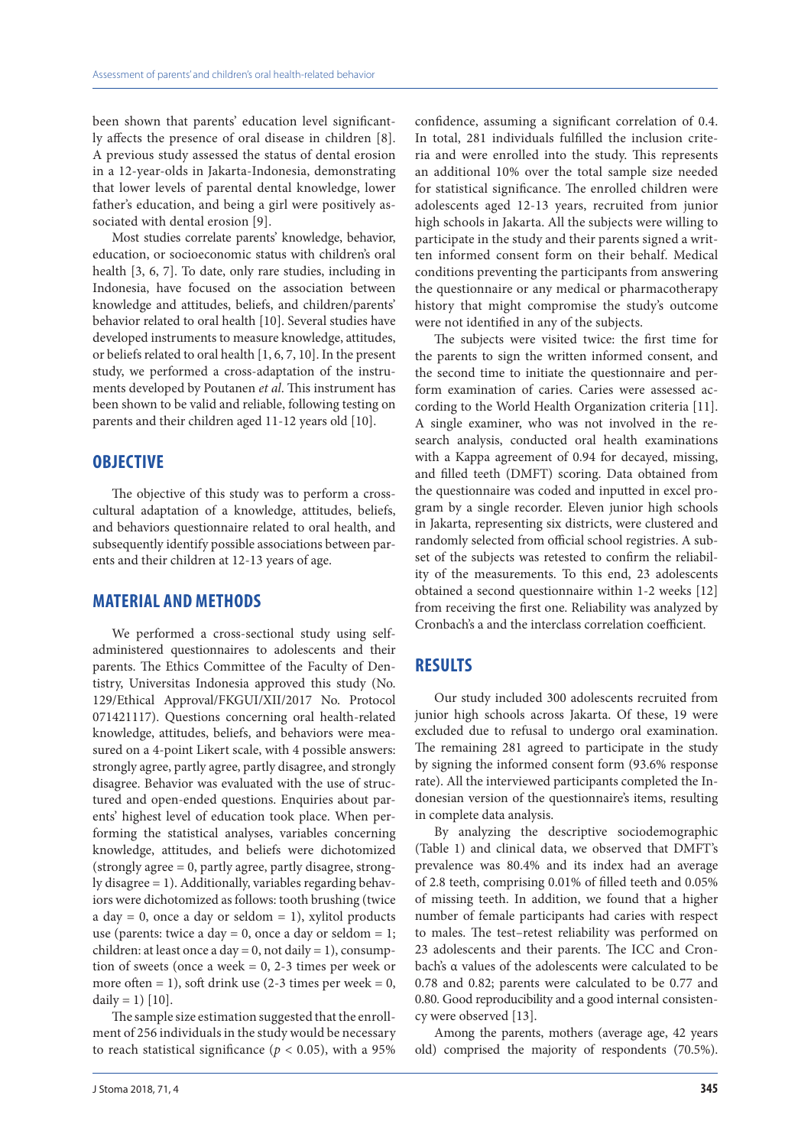been shown that parents' education level significantly affects the presence of oral disease in children [8]. A previous study assessed the status of dental erosion in a 12-year-olds in Jakarta-Indonesia, demonstrating that lower levels of parental dental knowledge, lower father's education, and being a girl were positively associated with dental erosion [9].

Most studies correlate parents' knowledge, behavior, education, or socioeconomic status with children's oral health [3, 6, 7]. To date, only rare studies, including in Indonesia, have focused on the association between knowledge and attitudes, beliefs, and children/parents' behavior related to oral health [10]. Several studies have developed instruments to measure knowledge, attitudes, or beliefs related to oral health [1, 6, 7, 10]. In the present study, we performed a cross-adaptation of the instruments developed by Poutanen *et al*. This instrument has been shown to be valid and reliable, following testing on parents and their children aged 11-12 years old [10].

### **OBJECTIVE**

The objective of this study was to perform a crosscultural adaptation of a knowledge, attitudes, beliefs, and behaviors questionnaire related to oral health, and subsequently identify possible associations between parents and their children at 12-13 years of age.

### **MATERIAL AND METHODS**

We performed a cross-sectional study using selfadministered questionnaires to adolescents and their parents. The Ethics Committee of the Faculty of Dentistry, Universitas Indonesia approved this study (No. 129/Ethical Approval/FKGUI/XII/2017 No. Protocol 071421117). Questions concerning oral health-related knowledge, attitudes, beliefs, and behaviors were measured on a 4-point Likert scale, with 4 possible answers: strongly agree, partly agree, partly disagree, and strongly disagree. Behavior was evaluated with the use of structured and open-ended questions. Enquiries about parents' highest level of education took place. When performing the statistical analyses, variables concerning knowledge, attitudes, and beliefs were dichotomized  $(strongly agree = 0, partly agree, partly disagree, strong$ ly disagree = 1). Additionally, variables regarding behaviors were dichotomized as follows: tooth brushing (twice a day = 0, once a day or seldom = 1), xylitol products use (parents: twice a day = 0, once a day or seldom = 1; children: at least once a day =  $0$ , not daily =  $1$ ), consumption of sweets (once a week  $= 0$ , 2-3 times per week or more often = 1), soft drink use  $(2-3$  times per week = 0, daily = 1)  $[10]$ .

The sample size estimation suggested that the enrollment of 256 individuals in the study would be necessary to reach statistical significance ( $p < 0.05$ ), with a 95%

confidence, assuming a significant correlation of 0.4. In total, 281 individuals fulfilled the inclusion criteria and were enrolled into the study. This represents an additional 10% over the total sample size needed for statistical significance. The enrolled children were adolescents aged 12-13 years, recruited from junior high schools in Jakarta. All the subjects were willing to participate in the study and their parents signed a written informed consent form on their behalf. Medical conditions preventing the participants from answering the questionnaire or any medical or pharmacotherapy history that might compromise the study's outcome were not identified in any of the subjects.

The subjects were visited twice: the first time for the parents to sign the written informed consent, and the second time to initiate the questionnaire and perform examination of caries. Caries were assessed according to the World Health Organization criteria [11]. A single examiner, who was not involved in the research analysis, conducted oral health examinations with a Kappa agreement of 0.94 for decayed, missing, and filled teeth (DMFT) scoring. Data obtained from the questionnaire was coded and inputted in excel program by a single recorder. Eleven junior high schools in Jakarta, representing six districts, were clustered and randomly selected from official school registries. A subset of the subjects was retested to confirm the reliability of the measurements. To this end, 23 adolescents obtained a second questionnaire within 1-2 weeks [12] from receiving the first one. Reliability was analyzed by Cronbach's a and the interclass correlation coefficient.

# **RESULTS**

Our study included 300 adolescents recruited from junior high schools across Jakarta. Of these, 19 were excluded due to refusal to undergo oral examination. The remaining 281 agreed to participate in the study by signing the informed consent form (93.6% response rate). All the interviewed participants completed the Indonesian version of the questionnaire's items, resulting in complete data analysis.

By analyzing the descriptive sociodemographic (Table 1) and clinical data, we observed that DMFT's prevalence was 80.4% and its index had an average of 2.8 teeth, comprising 0.01% of filled teeth and 0.05% of missing teeth. In addition, we found that a higher number of female participants had caries with respect to males. The test–retest reliability was performed on 23 adolescents and their parents. The ICC and Cronbach's α values of the adolescents were calculated to be 0.78 and 0.82; parents were calculated to be 0.77 and 0.80. Good reproducibility and a good internal consistency were observed [13].

Among the parents, mothers (average age, 42 years old) comprised the majority of respondents (70.5%).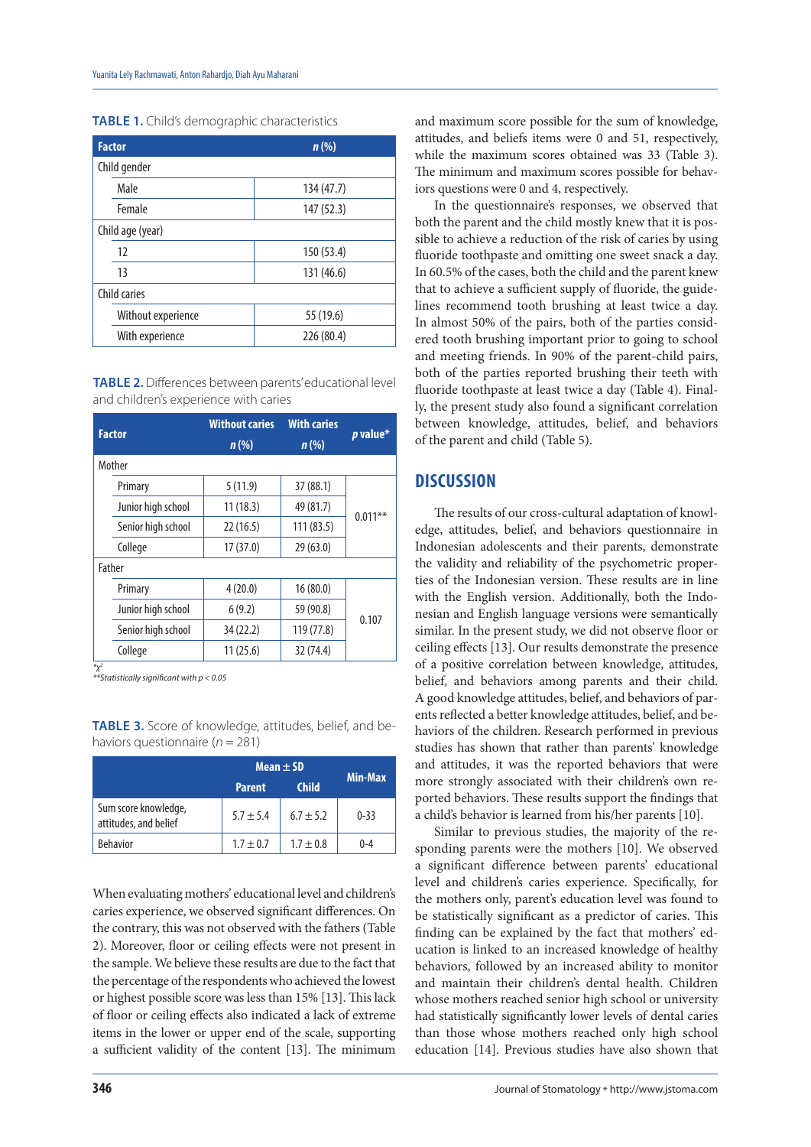| <b>Factor</b>      | $n$ (%)    |  |  |  |  |
|--------------------|------------|--|--|--|--|
| Child gender       |            |  |  |  |  |
| Male               | 134 (47.7) |  |  |  |  |
| Female             | 147 (52.3) |  |  |  |  |
| Child age (year)   |            |  |  |  |  |
| 12                 | 150 (53.4) |  |  |  |  |
| 13                 | 131 (46.6) |  |  |  |  |
| Child caries       |            |  |  |  |  |
| Without experience | 55 (19.6)  |  |  |  |  |
| With experience    | 226 (80.4) |  |  |  |  |

**TABLE 1.** Child's demographic characteristics

**TABLE 2.** Differences between parents' educational level and children's experience with caries

| <b>Factor</b> |                    | <b>Without caries</b> |            | <i>p</i> value* |  |
|---------------|--------------------|-----------------------|------------|-----------------|--|
|               |                    | $n$ (%)               | $n$ (%)    |                 |  |
|               | Mother             |                       |            |                 |  |
|               | Primary            | 5(11.9)               | 37(88.1)   |                 |  |
|               | Junior high school | 11(18.3)              | 49 (81.7)  | $0.011***$      |  |
|               | Senior high school | 22(16.5)              | 111(83.5)  |                 |  |
|               | College            | 17(37.0)              | 29(63.0)   |                 |  |
| Father        |                    |                       |            |                 |  |
|               | Primary            | 4(20.0)               | 16(80.0)   |                 |  |
|               | Junior high school | 6(9.2)                | 59 (90.8)  | 0.107           |  |
|               | Senior high school | 34 (22.2)             | 119 (77.8) |                 |  |
|               | College            | 11(25.6)              | 32 (74.4)  |                 |  |

*\*χ2 \*\*Statistically significant with p < 0.05* 

**TABLE 3.** Score of knowledge, attitudes, belief, and behaviors questionnaire ( $n = 281$ )

|                                               | Mean $\pm$ SD |               |                |  |
|-----------------------------------------------|---------------|---------------|----------------|--|
|                                               | <b>Parent</b> | <b>Child</b>  | <b>Min-Max</b> |  |
| Sum score knowledge,<br>attitudes, and belief | $5.7 + 5.4$   | $6.7 \pm 5.2$ | $0 - 33$       |  |
| <b>Behavior</b>                               | $1.7 \pm 0.7$ | $1.7 \pm 0.8$ | 0-4            |  |

When evaluating mothers' educational level and children's caries experience, we observed significant differences. On the contrary, this was not observed with the fathers (Table 2). Moreover, floor or ceiling effects were not present in the sample. We believe these results are due to the fact that the percentage of the respondents who achieved the lowest or highest possible score was less than 15% [13]. This lack of floor or ceiling effects also indicated a lack of extreme items in the lower or upper end of the scale, supporting a sufficient validity of the content [13]. The minimum

and maximum score possible for the sum of knowledge, attitudes, and beliefs items were 0 and 51, respectively, while the maximum scores obtained was 33 (Table 3). The minimum and maximum scores possible for behaviors questions were 0 and 4, respectively.

In the questionnaire's responses, we observed that both the parent and the child mostly knew that it is possible to achieve a reduction of the risk of caries by using fluoride toothpaste and omitting one sweet snack a day. In 60.5% of the cases, both the child and the parent knew that to achieve a sufficient supply of fluoride, the guidelines recommend tooth brushing at least twice a day. In almost 50% of the pairs, both of the parties considered tooth brushing important prior to going to school and meeting friends. In 90% of the parent-child pairs, both of the parties reported brushing their teeth with fluoride toothpaste at least twice a day (Table 4). Finally, the present study also found a significant correlation between knowledge, attitudes, belief, and behaviors of the parent and child (Table 5).

### **DISCUSSION**

The results of our cross-cultural adaptation of knowledge, attitudes, belief, and behaviors questionnaire in Indonesian adolescents and their parents, demonstrate the validity and reliability of the psychometric properties of the Indonesian version. These results are in line with the English version. Additionally, both the Indonesian and English language versions were semantically similar. In the present study, we did not observe floor or ceiling effects [13]. Our results demonstrate the presence of a positive correlation between knowledge, attitudes, belief, and behaviors among parents and their child. A good knowledge attitudes, belief, and behaviors of parents reflected a better knowledge attitudes, belief, and behaviors of the children. Research performed in previous studies has shown that rather than parents' knowledge and attitudes, it was the reported behaviors that were more strongly associated with their children's own reported behaviors. These results support the findings that a child's behavior is learned from his/her parents [10].

Similar to previous studies, the majority of the responding parents were the mothers [10]. We observed a significant difference between parents' educational level and children's caries experience. Specifically, for the mothers only, parent's education level was found to be statistically significant as a predictor of caries. This finding can be explained by the fact that mothers' education is linked to an increased knowledge of healthy behaviors, followed by an increased ability to monitor and maintain their children's dental health. Children whose mothers reached senior high school or university had statistically significantly lower levels of dental caries than those whose mothers reached only high school education [14]. Previous studies have also shown that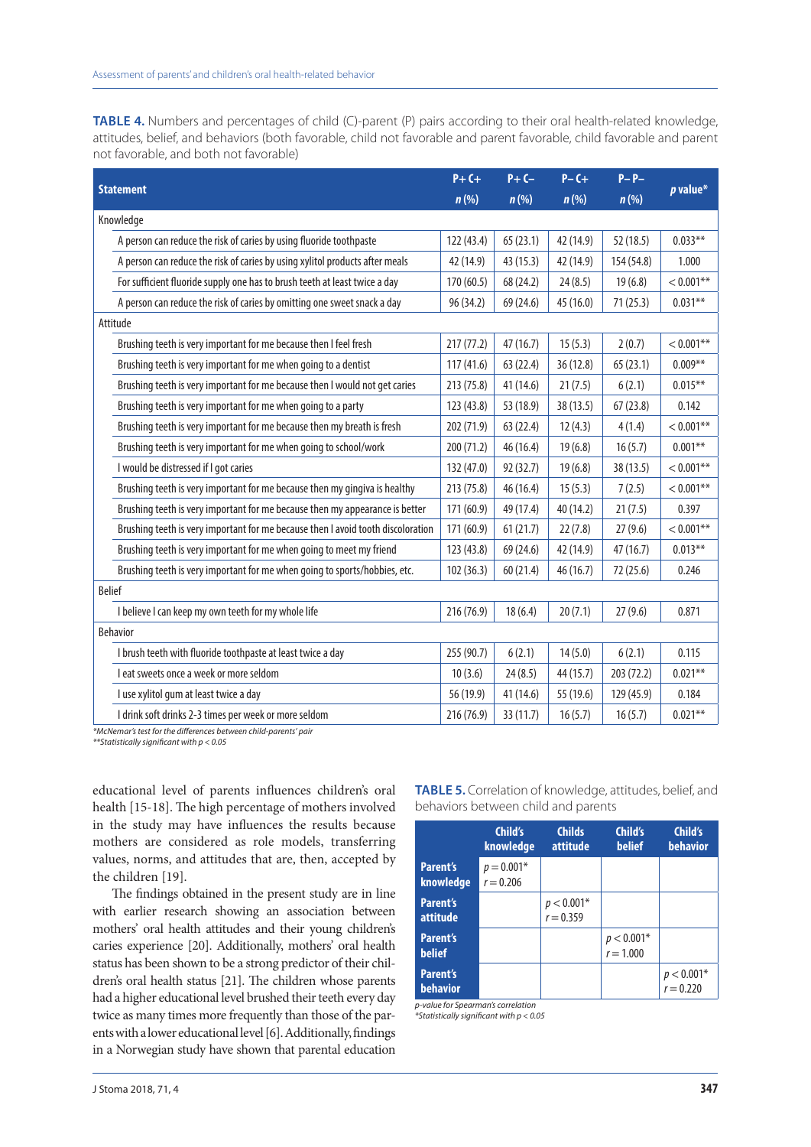**TABLE 4.** Numbers and percentages of child (C)-parent (P) pairs according to their oral health-related knowledge, attitudes, belief, and behaviors (both favorable, child not favorable and parent favorable, child favorable and parent not favorable, and both not favorable)

| <b>Statement</b> |                                                                                  | $P + C +$  | $P + C -$ | $P - C +$ | $P - P -$  | $p$ value*   |  |
|------------------|----------------------------------------------------------------------------------|------------|-----------|-----------|------------|--------------|--|
|                  |                                                                                  |            | $n$ (%)   | n(%)      | $n$ (%)    |              |  |
| Knowledge        |                                                                                  |            |           |           |            |              |  |
|                  | A person can reduce the risk of caries by using fluoride toothpaste              | 122 (43.4) | 65(23.1)  | 42 (14.9) | 52 (18.5)  | $0.033**$    |  |
|                  | A person can reduce the risk of caries by using xylitol products after meals     | 42 (14.9)  | 43 (15.3) | 42 (14.9) | 154 (54.8) | 1.000        |  |
|                  | For sufficient fluoride supply one has to brush teeth at least twice a day       | 170 (60.5) | 68 (24.2) | 24(8.5)   | 19(6.8)    | $< 0.001$ ** |  |
|                  | A person can reduce the risk of caries by omitting one sweet snack a day         | 96 (34.2)  | 69 (24.6) | 45 (16.0) | 71(25.3)   | $0.031**$    |  |
|                  | Attitude                                                                         |            |           |           |            |              |  |
|                  | Brushing teeth is very important for me because then I feel fresh                | 217(77.2)  | 47 (16.7) | 15(5.3)   | 2(0.7)     | $< 0.001**$  |  |
|                  | Brushing teeth is very important for me when going to a dentist                  | 117(41.6)  | 63 (22.4) | 36 (12.8) | 65(23.1)   | $0.009**$    |  |
|                  | Brushing teeth is very important for me because then I would not get caries      | 213 (75.8) | 41 (14.6) | 21(7.5)   | 6(2.1)     | $0.015***$   |  |
|                  | Brushing teeth is very important for me when going to a party                    | 123 (43.8) | 53 (18.9) | 38 (13.5) | 67(23.8)   | 0.142        |  |
|                  | Brushing teeth is very important for me because then my breath is fresh          | 202 (71.9) | 63 (22.4) | 12(4.3)   | 4(1.4)     | $< 0.001$ ** |  |
|                  | Brushing teeth is very important for me when going to school/work                | 200 (71.2) | 46 (16.4) | 19(6.8)   | 16(5.7)    | $0.001**$    |  |
|                  | I would be distressed if I got caries                                            | 132 (47.0) | 92 (32.7) | 19(6.8)   | 38 (13.5)  | $< 0.001$ ** |  |
|                  | Brushing teeth is very important for me because then my gingiva is healthy       | 213 (75.8) | 46 (16.4) | 15(5.3)   | 7(2.5)     | $< 0.001$ ** |  |
|                  | Brushing teeth is very important for me because then my appearance is better     | 171 (60.9) | 49 (17.4) | 40 (14.2) | 21(7.5)    | 0.397        |  |
|                  | Brushing teeth is very important for me because then I avoid tooth discoloration | 171 (60.9) | 61(21.7)  | 22(7.8)   | 27(9.6)    | $< 0.001**$  |  |
|                  | Brushing teeth is very important for me when going to meet my friend             | 123 (43.8) | 69 (24.6) | 42 (14.9) | 47 (16.7)  | $0.013**$    |  |
|                  | Brushing teeth is very important for me when going to sports/hobbies, etc.       | 102 (36.3) | 60 (21.4) | 46 (16.7) | 72 (25.6)  | 0.246        |  |
| <b>Belief</b>    |                                                                                  |            |           |           |            |              |  |
|                  | I believe I can keep my own teeth for my whole life                              | 216 (76.9) | 18(6.4)   | 20(7.1)   | 27(9.6)    | 0.871        |  |
| <b>Behavior</b>  |                                                                                  |            |           |           |            |              |  |
|                  | I brush teeth with fluoride toothpaste at least twice a day                      | 255 (90.7) | 6(2.1)    | 14(5.0)   | 6(2.1)     | 0.115        |  |
|                  | I eat sweets once a week or more seldom                                          | 10(3.6)    | 24(8.5)   | 44 (15.7) | 203 (72.2) | $0.021**$    |  |
|                  | I use xylitol gum at least twice a day                                           | 56 (19.9)  | 41 (14.6) | 55 (19.6) | 129 (45.9) | 0.184        |  |
|                  | I drink soft drinks 2-3 times per week or more seldom                            | 216 (76.9) | 33 (11.7) | 16(5.7)   | 16(5.7)    | $0.021**$    |  |
|                  | *McNemar's test for the differences between child-parents' pair                  |            |           |           |            |              |  |

*\*\*Statistically significant with p < 0.05* 

educational level of parents influences children's oral health [15-18]. The high percentage of mothers involved in the study may have influences the results because mothers are considered as role models, transferring values, norms, and attitudes that are, then, accepted by the children [19].

The findings obtained in the present study are in line with earlier research showing an association between mothers' oral health attitudes and their young children's caries experience [20]. Additionally, mothers' oral health status has been shown to be a strong predictor of their children's oral health status [21]. The children whose parents had a higher educational level brushed their teeth every day twice as many times more frequently than those of the parents with a lower educational level [6]. Additionally, findings in a Norwegian study have shown that parental education **TABLE 5.** Correlation of knowledge, attitudes, belief, and behaviors between child and parents

|                                    | Child's<br>knowledge        | <b>Childs</b><br>attitude    | Child's<br><b>belief</b>    | Child's<br><b>behavior</b>  |
|------------------------------------|-----------------------------|------------------------------|-----------------------------|-----------------------------|
| <b>Parent's</b><br>knowledge       | $p = 0.001*$<br>$r = 0.206$ |                              |                             |                             |
| <b>Parent's</b><br>attitude        |                             | $p < 0.001^*$<br>$r = 0.359$ |                             |                             |
| <b>Parent's</b><br><b>belief</b>   |                             |                              | $p < 0.001*$<br>$r = 1.000$ |                             |
| <b>Parent's</b><br><b>behavior</b> |                             |                              |                             | $p < 0.001*$<br>$r = 0.220$ |

*p-value for Spearman's correlation \*Statistically significant with p < 0.05*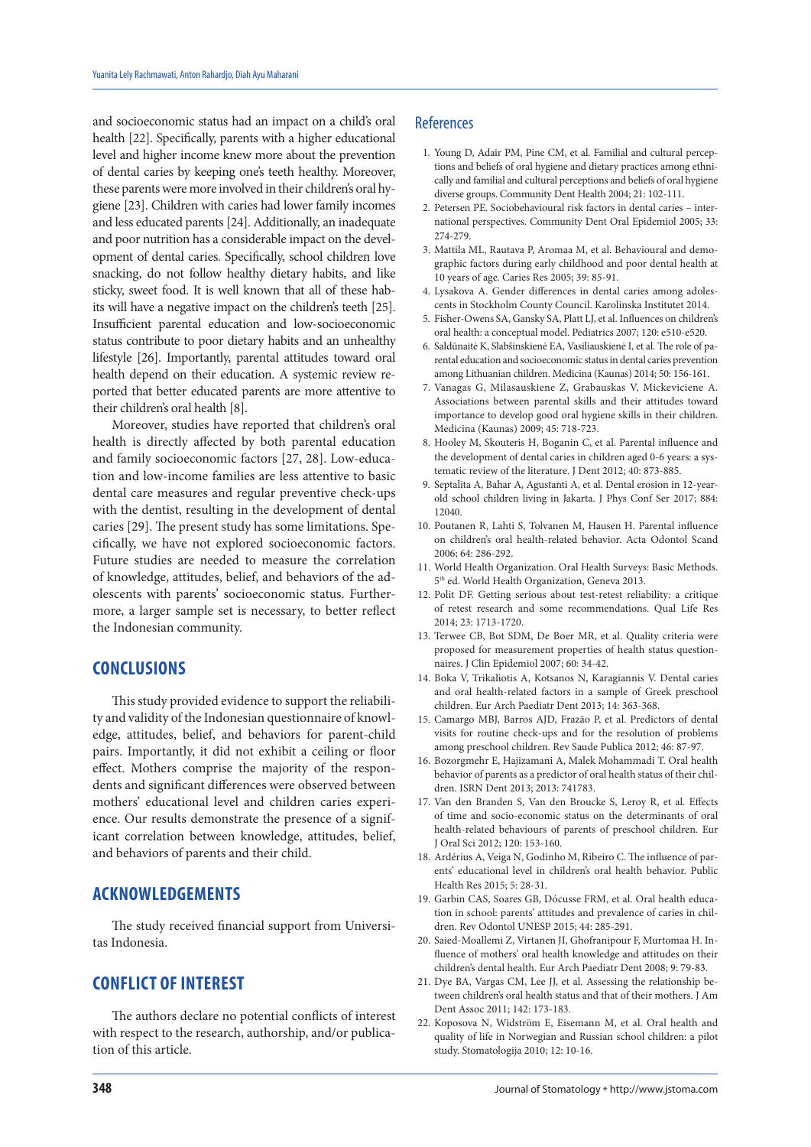and socioeconomic status had an impact on a child's oral health [22]. Specifically, parents with a higher educational level and higher income knew more about the prevention of dental caries by keeping one's teeth healthy. Moreover, these parents were more involved in their children's oral hygiene [23]. Children with caries had lower family incomes and less educated parents [24]. Additionally, an inadequate and poor nutrition has a considerable impact on the development of dental caries. Specifically, school children love snacking, do not follow healthy dietary habits, and like sticky, sweet food. It is well known that all of these habits will have a negative impact on the children's teeth [25]. Insufficient parental education and low-socioeconomic status contribute to poor dietary habits and an unhealthy lifestyle [26]. Importantly, parental attitudes toward oral health depend on their education. A systemic review reported that better educated parents are more attentive to their children's oral health [8].

Moreover, studies have reported that children's oral health is directly affected by both parental education and family socioeconomic factors [27, 28]. Low-education and low-income families are less attentive to basic dental care measures and regular preventive check-ups with the dentist, resulting in the development of dental caries [29]. The present study has some limitations. Specifically, we have not explored socioeconomic factors. Future studies are needed to measure the correlation of knowledge, attitudes, belief, and behaviors of the adolescents with parents' socioeconomic status. Furthermore, a larger sample set is necessary, to better reflect the Indonesian community.

### **CONCLUSIONS**

This study provided evidence to support the reliability and validity of the Indonesian questionnaire of knowledge, attitudes, belief, and behaviors for parent-child pairs. Importantly, it did not exhibit a ceiling or floor effect. Mothers comprise the majority of the respondents and significant differences were observed between mothers' educational level and children caries experience. Our results demonstrate the presence of a significant correlation between knowledge, attitudes, belief, and behaviors of parents and their child.

## **ACKNOWLEDGEMENTS**

The study received financial support from Universitas Indonesia.

# **CONFLICT OF INTEREST**

The authors declare no potential conflicts of interest with respect to the research, authorship, and/or publication of this article.

#### References

- 1. Young D, Adair PM, Pine CM, et al. Familial and cultural perceptions and beliefs of oral hygiene and dietary practices among ethnically and familial and cultural perceptions and beliefs of oral hygiene diverse groups. Community Dent Health 2004; 21: 102-111.
- 2. Petersen PE. Sociobehavioural risk factors in dental caries international perspectives. Community Dent Oral Epidemiol 2005; 33: 274-279.
- 3. Mattila ML, Rautava P, Aromaa M, et al. Behavioural and demographic factors during early childhood and poor dental health at 10 years of age. Caries Res 2005; 39: 85-91.
- 4. Lysakova A. Gender differences in dental caries among adolescents in Stockholm County Council. Karolinska Institutet 2014.
- 5. Fisher-Owens SA, Gansky SA, Platt LJ, et al. Influences on children's oral health: a conceptual model. Pediatrics 2007; 120: e510-e520.
- 6. Saldūnaitė K, Slabšinskienė EA, Vasiliauskienė I, et al. The role of parental education and socioeconomic status in dental caries prevention among Lithuanian children. Medicina (Kaunas) 2014; 50: 156-161.
- 7. Vanagas G, Milasauskiene Z, Grabauskas V, Mickeviciene A. Associations between parental skills and their attitudes toward importance to develop good oral hygiene skills in their children. Medicina (Kaunas) 2009; 45: 718-723.
- 8. Hooley M, Skouteris H, Boganin C, et al. Parental influence and the development of dental caries in children aged 0-6 years: a systematic review of the literature. J Dent 2012; 40: 873-885.
- 9. Septalita A, Bahar A, Agustanti A, et al. Dental erosion in 12-yearold school children living in Jakarta. J Phys Conf Ser 2017; 884: 12040.
- 10. Poutanen R, Lahti S, Tolvanen M, Hausen H. Parental influence on children's oral health-related behavior. Acta Odontol Scand 2006; 64: 286-292.
- 11. World Health Organization. Oral Health Surveys: Basic Methods. 5th ed. World Health Organization, Geneva 2013.
- 12. Polit DF. Getting serious about test-retest reliability: a critique of retest research and some recommendations. Qual Life Res 2014; 23: 1713-1720.
- 13. Terwee CB, Bot SDM, De Boer MR, et al. Quality criteria were proposed for measurement properties of health status questionnaires. J Clin Epidemiol 2007; 60: 34-42.
- 14. Boka V, Trikaliotis A, Kotsanos N, Karagiannis V. Dental caries and oral health-related factors in a sample of Greek preschool children. Eur Arch Paediatr Dent 2013; 14: 363-368.
- 15. Camargo MBJ, Barros AJD, Frazão P, et al. Predictors of dental visits for routine check-ups and for the resolution of problems among preschool children. Rev Saude Publica 2012; 46: 87-97.
- 16. Bozorgmehr E, Hajizamani A, Malek Mohammadi T. Oral health behavior of parents as a predictor of oral health status of their children. ISRN Dent 2013; 2013: 741783.
- 17. Van den Branden S, Van den Broucke S, Leroy R, et al. Effects of time and socio-economic status on the determinants of oral health-related behaviours of parents of preschool children. Eur J Oral Sci 2012; 120: 153-160.
- 18. Ardérius A, Veiga N, Godinho M, Ribeiro C. The influence of parents' educational level in children's oral health behavior. Public Health Res 2015; 5: 28-31.
- 19. Garbin CAS, Soares GB, Dócusse FRM, et al. Oral health education in school: parents' attitudes and prevalence of caries in children. Rev Odontol UNESP 2015; 44: 285-291.
- 20. Saied-Moallemi Z, Virtanen JI, Ghofranipour F, Murtomaa H. Influence of mothers' oral health knowledge and attitudes on their children's dental health. Eur Arch Paediatr Dent 2008; 9: 79-83.
- 21. Dye BA, Vargas CM, Lee JJ, et al. Assessing the relationship between children's oral health status and that of their mothers. J Am Dent Assoc 2011; 142: 173-183.
- 22. Koposova N, Widström E, Eisemann M, et al. Oral health and quality of life in Norwegian and Russian school children: a pilot study. Stomatologija 2010; 12: 10-16.